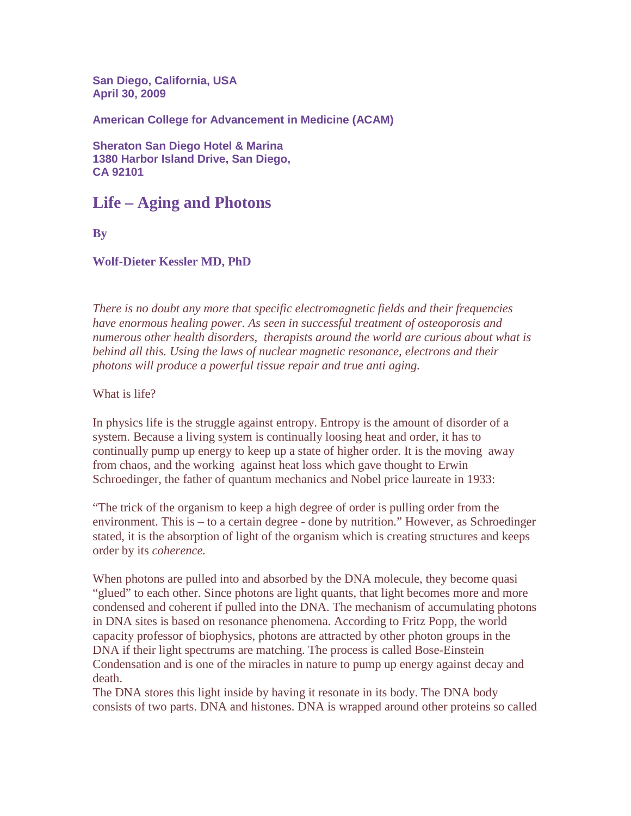**San Diego, California, USA April 30, 2009** 

**American College for Advancement in Medicine (ACAM)**

**Sheraton San Diego Hotel & Marina 1380 Harbor Island Drive, San Diego, CA 92101**

# **Life – Aging and Photons**

**By** 

#### **Wolf-Dieter Kessler MD, PhD**

*There is no doubt any more that specific electromagnetic fields and their frequencies have enormous healing power. As seen in successful treatment of osteoporosis and numerous other health disorders, therapists around the world are curious about what is behind all this. Using the laws of nuclear magnetic resonance, electrons and their photons will produce a powerful tissue repair and true anti aging.* 

What is life?

In physics life is the struggle against entropy. Entropy is the amount of disorder of a system. Because a living system is continually loosing heat and order, it has to continually pump up energy to keep up a state of higher order. It is the moving away from chaos, and the working against heat loss which gave thought to Erwin Schroedinger, the father of quantum mechanics and Nobel price laureate in 1933:

"The trick of the organism to keep a high degree of order is pulling order from the environment. This is – to a certain degree - done by nutrition." However, as Schroedinger stated, it is the absorption of light of the organism which is creating structures and keeps order by its *coherence.* 

When photons are pulled into and absorbed by the DNA molecule, they become quasi "glued" to each other. Since photons are light quants, that light becomes more and more condensed and coherent if pulled into the DNA. The mechanism of accumulating photons in DNA sites is based on resonance phenomena. According to Fritz Popp, the world capacity professor of biophysics, photons are attracted by other photon groups in the DNA if their light spectrums are matching. The process is called Bose-Einstein Condensation and is one of the miracles in nature to pump up energy against decay and death.

The DNA stores this light inside by having it resonate in its body. The DNA body consists of two parts. DNA and histones. DNA is wrapped around other proteins so called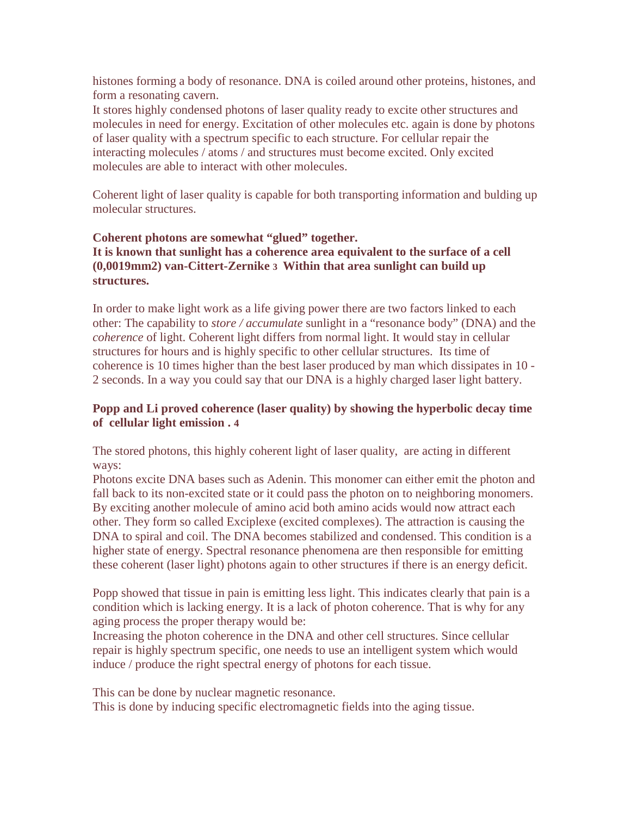histones forming a body of resonance. DNA is coiled around other proteins, histones, and form a resonating cavern.

It stores highly condensed photons of laser quality ready to excite other structures and molecules in need for energy. Excitation of other molecules etc. again is done by photons of laser quality with a spectrum specific to each structure. For cellular repair the interacting molecules / atoms / and structures must become excited. Only excited molecules are able to interact with other molecules.

Coherent light of laser quality is capable for both transporting information and bulding up molecular structures.

## **Coherent photons are somewhat "glued" together. It is known that sunlight has a coherence area equivalent to the surface of a cell (0,0019mm2) van-Cittert-Zernike 3 Within that area sunlight can build up structures.**

In order to make light work as a life giving power there are two factors linked to each other: The capability to *store / accumulate* sunlight in a "resonance body" (DNA) and the *coherence* of light. Coherent light differs from normal light. It would stay in cellular structures for hours and is highly specific to other cellular structures. Its time of coherence is 10 times higher than the best laser produced by man which dissipates in 10 - 2 seconds. In a way you could say that our DNA is a highly charged laser light battery.

## **Popp and Li proved coherence (laser quality) by showing the hyperbolic decay time of cellular light emission . 4**

The stored photons, this highly coherent light of laser quality, are acting in different ways:

Photons excite DNA bases such as Adenin. This monomer can either emit the photon and fall back to its non-excited state or it could pass the photon on to neighboring monomers. By exciting another molecule of amino acid both amino acids would now attract each other. They form so called Exciplexe (excited complexes). The attraction is causing the DNA to spiral and coil. The DNA becomes stabilized and condensed. This condition is a higher state of energy. Spectral resonance phenomena are then responsible for emitting these coherent (laser light) photons again to other structures if there is an energy deficit.

Popp showed that tissue in pain is emitting less light. This indicates clearly that pain is a condition which is lacking energy. It is a lack of photon coherence. That is why for any aging process the proper therapy would be:

Increasing the photon coherence in the DNA and other cell structures. Since cellular repair is highly spectrum specific, one needs to use an intelligent system which would induce / produce the right spectral energy of photons for each tissue.

This can be done by nuclear magnetic resonance.

This is done by inducing specific electromagnetic fields into the aging tissue.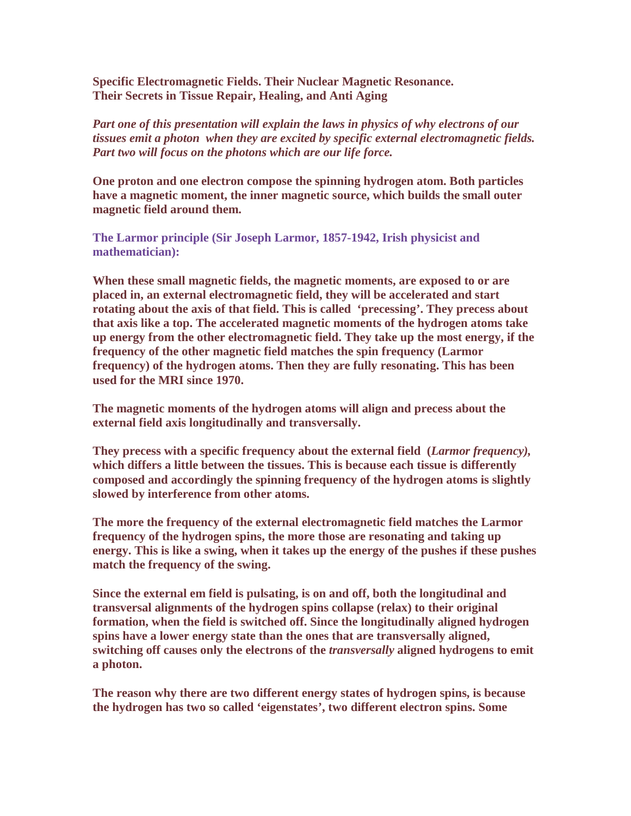**Specific Electromagnetic Fields. Their Nuclear Magnetic Resonance. Their Secrets in Tissue Repair, Healing, and Anti Aging** 

*Part one of this presentation will explain the laws in physics of why electrons of our tissues emit a photon when they are excited by specific external electromagnetic fields. Part two will focus on the photons which are our life force.* 

**One proton and one electron compose the spinning hydrogen atom. Both particles have a magnetic moment, the inner magnetic source, which builds the small outer magnetic field around them.**

**The Larmor principle (Sir Joseph Larmor, 1857-1942, Irish physicist and mathematician):** 

**When these small magnetic fields, the magnetic moments, are exposed to or are placed in, an external electromagnetic field, they will be accelerated and start rotating about the axis of that field. This is called 'precessing'. They precess about that axis like a top. The accelerated magnetic moments of the hydrogen atoms take up energy from the other electromagnetic field. They take up the most energy, if the frequency of the other magnetic field matches the spin frequency (Larmor frequency) of the hydrogen atoms. Then they are fully resonating. This has been used for the MRI since 1970.** 

**The magnetic moments of the hydrogen atoms will align and precess about the external field axis longitudinally and transversally.** 

**They precess with a specific frequency about the external field (***Larmor frequency),*  **which differs a little between the tissues. This is because each tissue is differently composed and accordingly the spinning frequency of the hydrogen atoms is slightly slowed by interference from other atoms.** 

**The more the frequency of the external electromagnetic field matches the Larmor frequency of the hydrogen spins, the more those are resonating and taking up energy. This is like a swing, when it takes up the energy of the pushes if these pushes match the frequency of the swing.** 

**Since the external em field is pulsating, is on and off, both the longitudinal and transversal alignments of the hydrogen spins collapse (relax) to their original formation, when the field is switched off. Since the longitudinally aligned hydrogen spins have a lower energy state than the ones that are transversally aligned, switching off causes only the electrons of the** *transversally* **aligned hydrogens to emit a photon.** 

**The reason why there are two different energy states of hydrogen spins, is because the hydrogen has two so called 'eigenstates', two different electron spins. Some**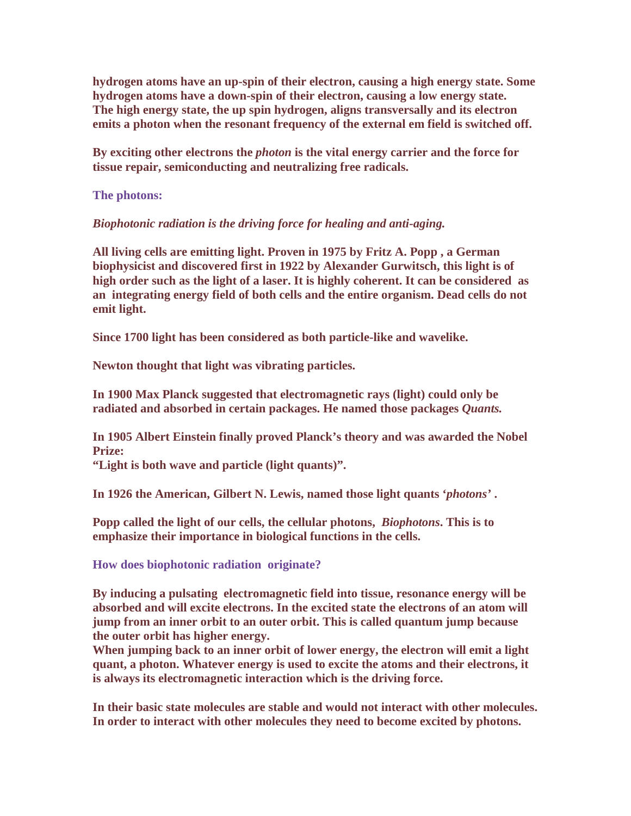**hydrogen atoms have an up-spin of their electron, causing a high energy state. Some hydrogen atoms have a down-spin of their electron, causing a low energy state. The high energy state, the up spin hydrogen, aligns transversally and its electron emits a photon when the resonant frequency of the external em field is switched off.** 

**By exciting other electrons the** *photon* **is the vital energy carrier and the force for tissue repair, semiconducting and neutralizing free radicals.** 

**The photons:** 

*Biophotonic radiation is the driving force for healing and anti-aging.* 

**All living cells are emitting light. Proven in 1975 by Fritz A. Popp , a German biophysicist and discovered first in 1922 by Alexander Gurwitsch, this light is of high order such as the light of a laser. It is highly coherent. It can be considered as an integrating energy field of both cells and the entire organism. Dead cells do not emit light.** 

**Since 1700 light has been considered as both particle-like and wavelike.** 

**Newton thought that light was vibrating particles.** 

**In 1900 Max Planck suggested that electromagnetic rays (light) could only be radiated and absorbed in certain packages. He named those packages** *Quants.* 

**In 1905 Albert Einstein finally proved Planck's theory and was awarded the Nobel Prize:** 

**"Light is both wave and particle (light quants)".** 

**In 1926 the American, Gilbert N. Lewis, named those light quants '***photons'* **.** 

**Popp called the light of our cells, the cellular photons,** *Biophotons***. This is to emphasize their importance in biological functions in the cells.** 

**How does biophotonic radiation originate?** 

**By inducing a pulsating electromagnetic field into tissue, resonance energy will be absorbed and will excite electrons. In the excited state the electrons of an atom will jump from an inner orbit to an outer orbit. This is called quantum jump because the outer orbit has higher energy.** 

**When jumping back to an inner orbit of lower energy, the electron will emit a light quant, a photon. Whatever energy is used to excite the atoms and their electrons, it is always its electromagnetic interaction which is the driving force.** 

**In their basic state molecules are stable and would not interact with other molecules. In order to interact with other molecules they need to become excited by photons.**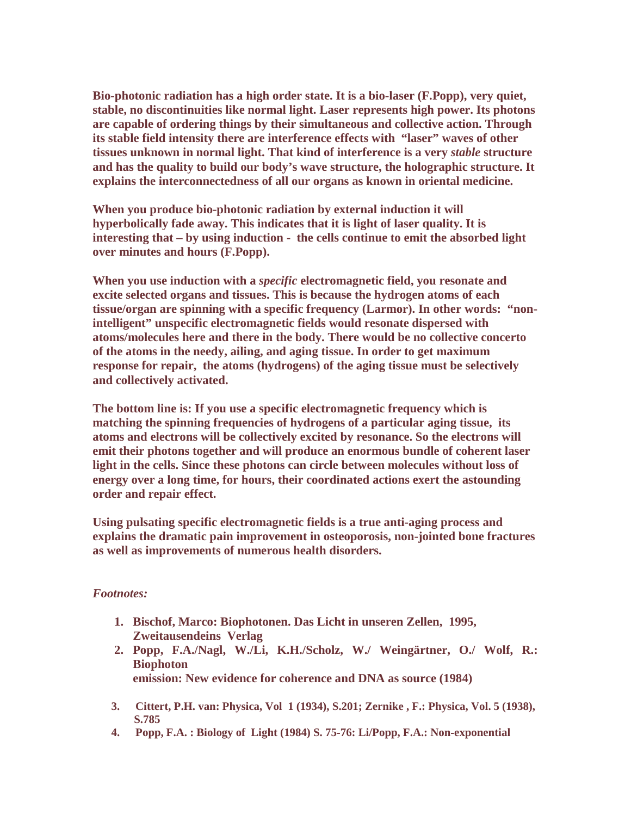**Bio-photonic radiation has a high order state. It is a bio-laser (F.Popp), very quiet, stable, no discontinuities like normal light. Laser represents high power. Its photons are capable of ordering things by their simultaneous and collective action. Through its stable field intensity there are interference effects with "laser" waves of other tissues unknown in normal light. That kind of interference is a very** *stable* **structure and has the quality to build our body's wave structure, the holographic structure. It explains the interconnectedness of all our organs as known in oriental medicine.** 

**When you produce bio-photonic radiation by external induction it will hyperbolically fade away. This indicates that it is light of laser quality. It is interesting that – by using induction - the cells continue to emit the absorbed light over minutes and hours (F.Popp).** 

**When you use induction with a** *specific* **electromagnetic field, you resonate and excite selected organs and tissues. This is because the hydrogen atoms of each tissue/organ are spinning with a specific frequency (Larmor). In other words: "nonintelligent" unspecific electromagnetic fields would resonate dispersed with atoms/molecules here and there in the body. There would be no collective concerto of the atoms in the needy, ailing, and aging tissue. In order to get maximum response for repair, the atoms (hydrogens) of the aging tissue must be selectively and collectively activated.** 

**The bottom line is: If you use a specific electromagnetic frequency which is matching the spinning frequencies of hydrogens of a particular aging tissue, its atoms and electrons will be collectively excited by resonance. So the electrons will emit their photons together and will produce an enormous bundle of coherent laser light in the cells. Since these photons can circle between molecules without loss of energy over a long time, for hours, their coordinated actions exert the astounding order and repair effect.** 

**Using pulsating specific electromagnetic fields is a true anti-aging process and explains the dramatic pain improvement in osteoporosis, non-jointed bone fractures as well as improvements of numerous health disorders.** 

#### *Footnotes:*

- **1. Bischof, Marco: Biophotonen. Das Licht in unseren Zellen, 1995, Zweitausendeins Verlag**
- **2. Popp, F.A./Nagl, W./Li, K.H./Scholz, W./ Weingärtner, O./ Wolf, R.: Biophoton emission: New evidence for coherence and DNA as source (1984)**
- **3. Cittert, P.H. van: Physica, Vol 1 (1934), S.201; Zernike , F.: Physica, Vol. 5 (1938), S.785**
- **4. Popp, F.A. : Biology of Light (1984) S. 75-76: Li/Popp, F.A.: Non-exponential**